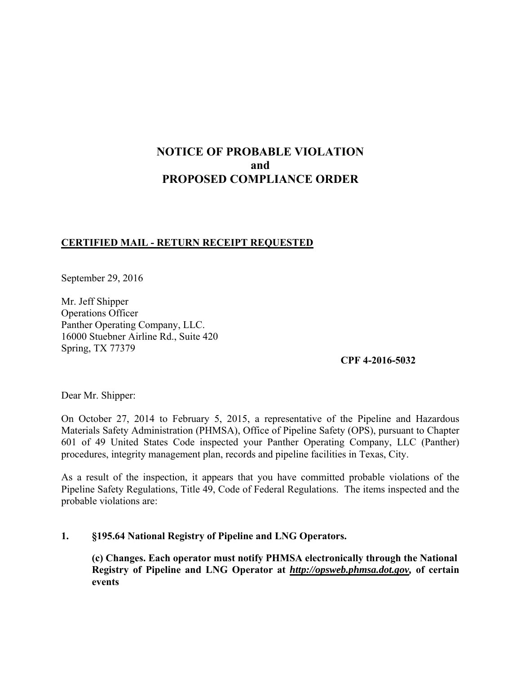# **NOTICE OF PROBABLE VIOLATION and PROPOSED COMPLIANCE ORDER**

# **CERTIFIED MAIL - RETURN RECEIPT REQUESTED**

September 29, 2016

Mr. Jeff Shipper Operations Officer Panther Operating Company, LLC. 16000 Stuebner Airline Rd., Suite 420 Spring, TX 77379

**CPF 4-2016-5032** 

Dear Mr. Shipper:

On October 27, 2014 to February 5, 2015, a representative of the Pipeline and Hazardous Materials Safety Administration (PHMSA), Office of Pipeline Safety (OPS), pursuant to Chapter 601 of 49 United States Code inspected your Panther Operating Company, LLC (Panther) procedures, integrity management plan, records and pipeline facilities in Texas, City.

As a result of the inspection, it appears that you have committed probable violations of the Pipeline Safety Regulations, Title 49, Code of Federal Regulations. The items inspected and the probable violations are:

# **1. §195.64 National Registry of Pipeline and LNG Operators.**

**(c) Changes. Each operator must notify PHMSA electronically through the National Registry of Pipeline and LNG Operator at** *http://opsweb.phmsa.dot.gov,* **of certain events**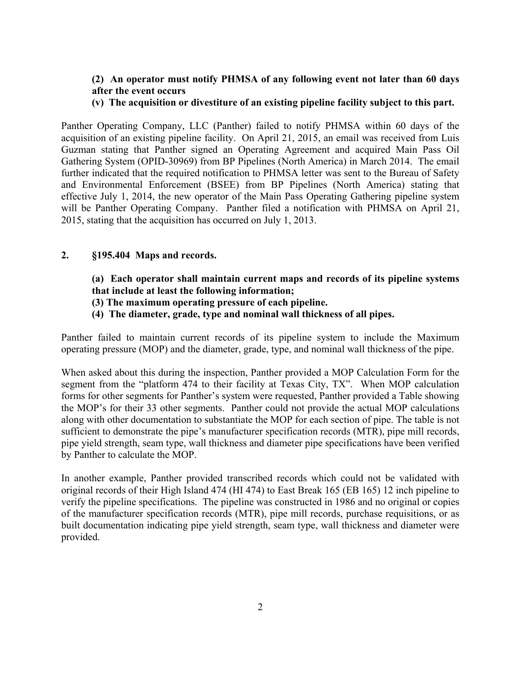# **(2) An operator must notify PHMSA of any following event not later than 60 days after the event occurs**

#### **(v) The acquisition or divestiture of an existing pipeline facility subject to this part.**

Panther Operating Company, LLC (Panther) failed to notify PHMSA within 60 days of the acquisition of an existing pipeline facility. On April 21, 2015, an email was received from Luis Guzman stating that Panther signed an Operating Agreement and acquired Main Pass Oil Gathering System (OPID-30969) from BP Pipelines (North America) in March 2014. The email further indicated that the required notification to PHMSA letter was sent to the Bureau of Safety and Environmental Enforcement (BSEE) from BP Pipelines (North America) stating that effective July 1, 2014, the new operator of the Main Pass Operating Gathering pipeline system will be Panther Operating Company. Panther filed a notification with PHMSA on April 21, 2015, stating that the acquisition has occurred on July 1, 2013.

### **2. §195.404 Maps and records.**

# **(a) Each operator shall maintain current maps and records of its pipeline systems that include at least the following information;**

- **(3) The maximum operating pressure of each pipeline.**
- **(4) The diameter, grade, type and nominal wall thickness of all pipes.**

Panther failed to maintain current records of its pipeline system to include the Maximum operating pressure (MOP) and the diameter, grade, type, and nominal wall thickness of the pipe.

When asked about this during the inspection, Panther provided a MOP Calculation Form for the segment from the "platform 474 to their facility at Texas City, TX". When MOP calculation forms for other segments for Panther's system were requested, Panther provided a Table showing the MOP's for their 33 other segments. Panther could not provide the actual MOP calculations along with other documentation to substantiate the MOP for each section of pipe. The table is not sufficient to demonstrate the pipe's manufacturer specification records (MTR), pipe mill records, pipe yield strength, seam type, wall thickness and diameter pipe specifications have been verified by Panther to calculate the MOP.

In another example, Panther provided transcribed records which could not be validated with original records of their High Island 474 (HI 474) to East Break 165 (EB 165) 12 inch pipeline to verify the pipeline specifications. The pipeline was constructed in 1986 and no original or copies of the manufacturer specification records (MTR), pipe mill records, purchase requisitions, or as built documentation indicating pipe yield strength, seam type, wall thickness and diameter were provided.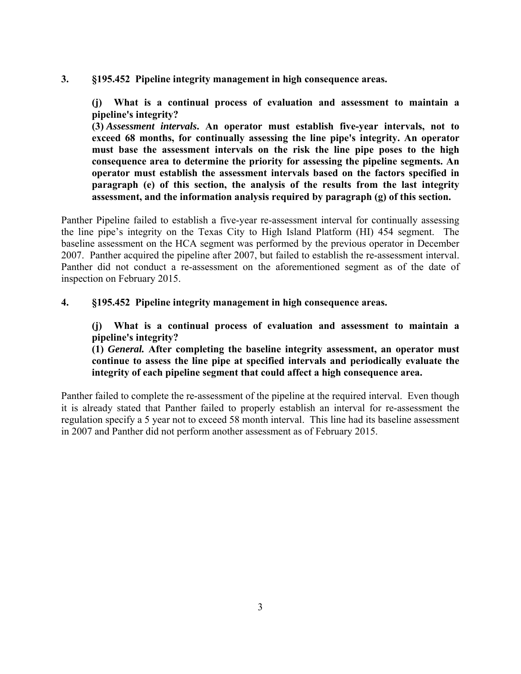**3. §195.452 Pipeline integrity management in high consequence areas.** 

**(j) What is a continual process of evaluation and assessment to maintain a pipeline's integrity?** 

**(3)** *Assessment intervals***. An operator must establish five-year intervals, not to exceed 68 months, for continually assessing the line pipe's integrity. An operator must base the assessment intervals on the risk the line pipe poses to the high consequence area to determine the priority for assessing the pipeline segments. An operator must establish the assessment intervals based on the factors specified in paragraph (e) of this section, the analysis of the results from the last integrity assessment, and the information analysis required by paragraph (g) of this section.** 

Panther Pipeline failed to establish a five-year re-assessment interval for continually assessing the line pipe's integrity on the Texas City to High Island Platform (HI) 454 segment. The baseline assessment on the HCA segment was performed by the previous operator in December 2007. Panther acquired the pipeline after 2007, but failed to establish the re-assessment interval. Panther did not conduct a re-assessment on the aforementioned segment as of the date of inspection on February 2015.

**4. §195.452 Pipeline integrity management in high consequence areas.** 

**(j) What is a continual process of evaluation and assessment to maintain a pipeline's integrity?** 

**(1)** *General.* **After completing the baseline integrity assessment, an operator must continue to assess the line pipe at specified intervals and periodically evaluate the integrity of each pipeline segment that could affect a high consequence area.** 

Panther failed to complete the re-assessment of the pipeline at the required interval. Even though it is already stated that Panther failed to properly establish an interval for re-assessment the regulation specify a 5 year not to exceed 58 month interval. This line had its baseline assessment in 2007 and Panther did not perform another assessment as of February 2015.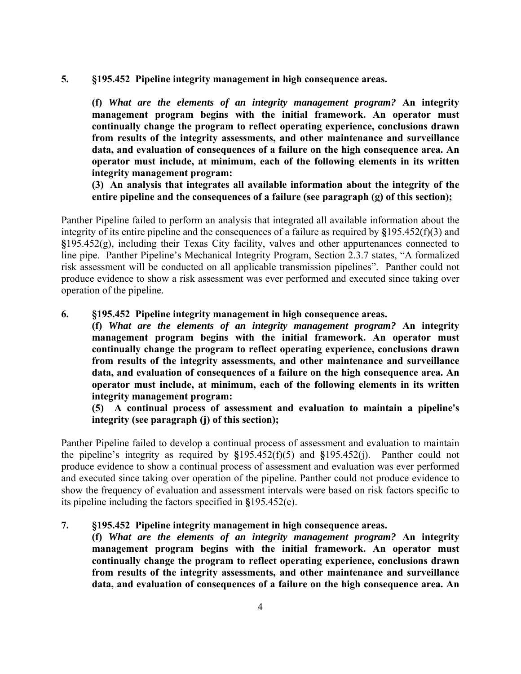**5. §195.452 Pipeline integrity management in high consequence areas.** 

**(f)** *What are the elements of an integrity management program?* **An integrity management program begins with the initial framework. An operator must continually change the program to reflect operating experience, conclusions drawn from results of the integrity assessments, and other maintenance and surveillance data, and evaluation of consequences of a failure on the high consequence area. An operator must include, at minimum, each of the following elements in its written integrity management program:** 

**(3) An analysis that integrates all available information about the integrity of the entire pipeline and the consequences of a failure (see paragraph (g) of this section);** 

Panther Pipeline failed to perform an analysis that integrated all available information about the integrity of its entire pipeline and the consequences of a failure as required by **§**195.452(f)(3) and **§**195.452(g), including their Texas City facility, valves and other appurtenances connected to line pipe. Panther Pipeline's Mechanical Integrity Program, Section 2.3.7 states, "A formalized risk assessment will be conducted on all applicable transmission pipelines". Panther could not produce evidence to show a risk assessment was ever performed and executed since taking over operation of the pipeline.

#### **6. §195.452 Pipeline integrity management in high consequence areas.**

**(f)** *What are the elements of an integrity management program?* **An integrity management program begins with the initial framework. An operator must continually change the program to reflect operating experience, conclusions drawn from results of the integrity assessments, and other maintenance and surveillance data, and evaluation of consequences of a failure on the high consequence area. An operator must include, at minimum, each of the following elements in its written integrity management program:** 

**(5) A continual process of assessment and evaluation to maintain a pipeline's integrity (see paragraph (j) of this section);** 

Panther Pipeline failed to develop a continual process of assessment and evaluation to maintain the pipeline's integrity as required by **§**195.452(f)(5) and **§**195.452(j). Panther could not produce evidence to show a continual process of assessment and evaluation was ever performed and executed since taking over operation of the pipeline. Panther could not produce evidence to show the frequency of evaluation and assessment intervals were based on risk factors specific to its pipeline including the factors specified in **§**195.452(e).

## **7. §195.452 Pipeline integrity management in high consequence areas.**

**(f)** *What are the elements of an integrity management program?* **An integrity management program begins with the initial framework. An operator must continually change the program to reflect operating experience, conclusions drawn from results of the integrity assessments, and other maintenance and surveillance data, and evaluation of consequences of a failure on the high consequence area. An**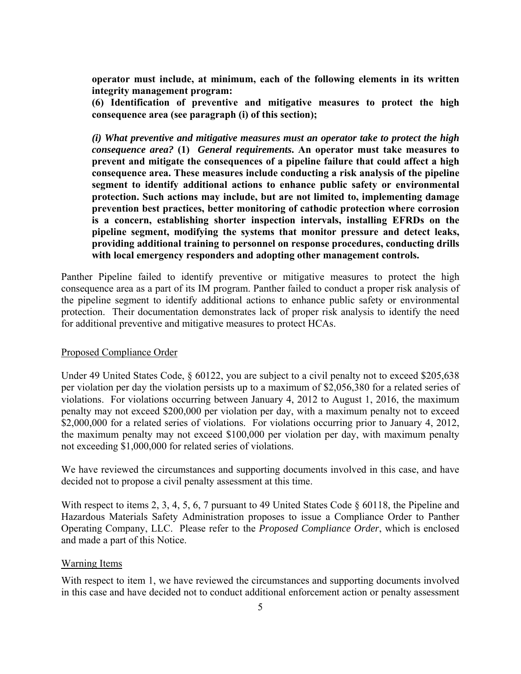**operator must include, at minimum, each of the following elements in its written integrity management program:** 

**(6) Identification of preventive and mitigative measures to protect the high consequence area (see paragraph (i) of this section);** 

*(i) What preventive and mitigative measures must an operator take to protect the high consequence area?* **(1)** *General requirements***. An operator must take measures to prevent and mitigate the consequences of a pipeline failure that could affect a high consequence area. These measures include conducting a risk analysis of the pipeline segment to identify additional actions to enhance public safety or environmental protection. Such actions may include, but are not limited to, implementing damage prevention best practices, better monitoring of cathodic protection where corrosion is a concern, establishing shorter inspection intervals, installing EFRDs on the pipeline segment, modifying the systems that monitor pressure and detect leaks, providing additional training to personnel on response procedures, conducting drills with local emergency responders and adopting other management controls.** 

Panther Pipeline failed to identify preventive or mitigative measures to protect the high consequence area as a part of its IM program. Panther failed to conduct a proper risk analysis of the pipeline segment to identify additional actions to enhance public safety or environmental protection. Their documentation demonstrates lack of proper risk analysis to identify the need for additional preventive and mitigative measures to protect HCAs.

### Proposed Compliance Order

Under 49 United States Code,  $\S 60122$ , you are subject to a civil penalty not to exceed \$205,638 per violation per day the violation persists up to a maximum of \$2,056,380 for a related series of violations. For violations occurring between January 4, 2012 to August 1, 2016, the maximum penalty may not exceed \$200,000 per violation per day, with a maximum penalty not to exceed \$2,000,000 for a related series of violations. For violations occurring prior to January 4, 2012, the maximum penalty may not exceed \$100,000 per violation per day, with maximum penalty not exceeding \$1,000,000 for related series of violations.

We have reviewed the circumstances and supporting documents involved in this case, and have decided not to propose a civil penalty assessment at this time.

With respect to items 2, 3, 4, 5, 6, 7 pursuant to 49 United States Code § 60118, the Pipeline and Hazardous Materials Safety Administration proposes to issue a Compliance Order to Panther Operating Company, LLC. Please refer to the *Proposed Compliance Order*, which is enclosed and made a part of this Notice.

#### Warning Items

With respect to item 1, we have reviewed the circumstances and supporting documents involved in this case and have decided not to conduct additional enforcement action or penalty assessment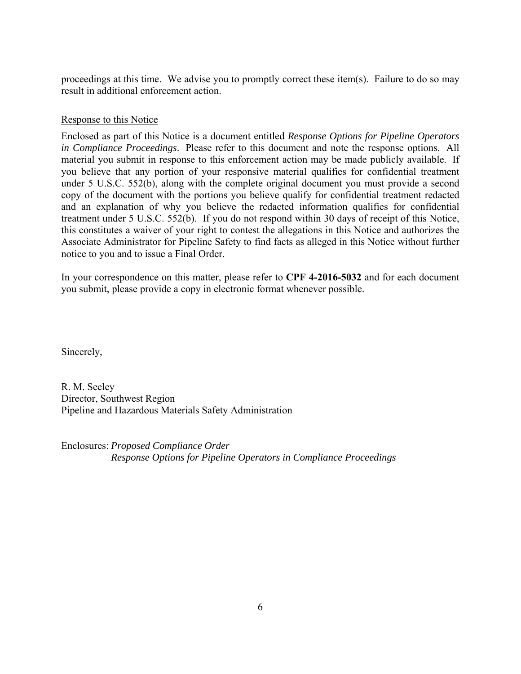proceedings at this time. We advise you to promptly correct these item(s). Failure to do so may result in additional enforcement action.

# Response to this Notice

Enclosed as part of this Notice is a document entitled *Response Options for Pipeline Operators in Compliance Proceedings*. Please refer to this document and note the response options. All material you submit in response to this enforcement action may be made publicly available. If you believe that any portion of your responsive material qualifies for confidential treatment under 5 U.S.C. 552(b), along with the complete original document you must provide a second copy of the document with the portions you believe qualify for confidential treatment redacted and an explanation of why you believe the redacted information qualifies for confidential treatment under 5 U.S.C. 552(b). If you do not respond within 30 days of receipt of this Notice, this constitutes a waiver of your right to contest the allegations in this Notice and authorizes the Associate Administrator for Pipeline Safety to find facts as alleged in this Notice without further notice to you and to issue a Final Order.

In your correspondence on this matter, please refer to **CPF 4-2016-5032** and for each document you submit, please provide a copy in electronic format whenever possible.

Sincerely,

R. M. Seeley Director, Southwest Region Pipeline and Hazardous Materials Safety Administration

Enclosures: *Proposed Compliance Order Response Options for Pipeline Operators in Compliance Proceedings*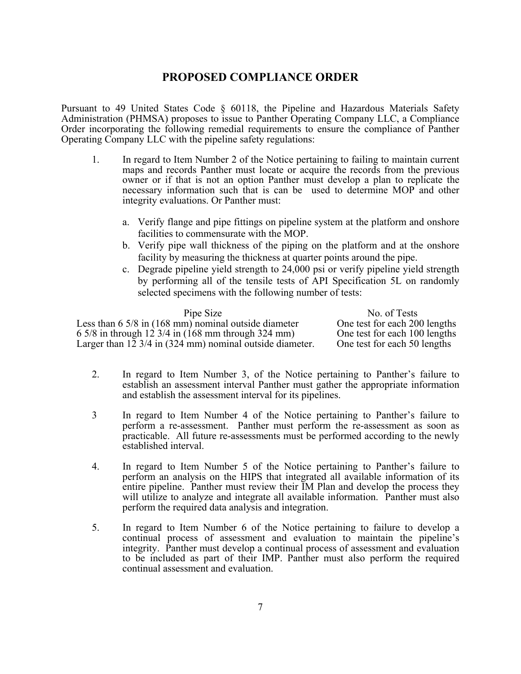# **PROPOSED COMPLIANCE ORDER**

Pursuant to 49 United States Code § 60118, the Pipeline and Hazardous Materials Safety Administration (PHMSA) proposes to issue to Panther Operating Company LLC, a Compliance Order incorporating the following remedial requirements to ensure the compliance of Panther Operating Company LLC with the pipeline safety regulations:

- 1. In regard to Item Number 2 of the Notice pertaining to failing to maintain current maps and records Panther must locate or acquire the records from the previous owner or if that is not an option Panther must develop a plan to replicate the necessary information such that is can be used to determine MOP and other integrity evaluations. Or Panther must:
	- a. Verify flange and pipe fittings on pipeline system at the platform and onshore facilities to commensurate with the MOP.
	- b. Verify pipe wall thickness of the piping on the platform and at the onshore facility by measuring the thickness at quarter points around the pipe.
	- c. Degrade pipeline yield strength to 24,000 psi or verify pipeline yield strength by performing all of the tensile tests of API Specification 5L on randomly selected specimens with the following number of tests:

| Pipe Size                                                               | No. of Tests                  |
|-------------------------------------------------------------------------|-------------------------------|
| Less than $6\frac{5}{8}$ in $(168 \text{ mm})$ nominal outside diameter | One test for each 200 lengths |
| 6.5/8 in through 12.3/4 in $(168 \text{ mm}$ through 324 mm)            | One test for each 100 lengths |
| Larger than $12 \frac{3}{4}$ in (324 mm) nominal outside diameter.      | One test for each 50 lengths  |

- 2. In regard to Item Number 3, of the Notice pertaining to Panther's failure to establish an assessment interval Panther must gather the appropriate information and establish the assessment interval for its pipelines.
- 3 In regard to Item Number 4 of the Notice pertaining to Panther's failure to perform a re-assessment. Panther must perform the re-assessment as soon as practicable. All future re-assessments must be performed according to the newly established interval.
- 4. In regard to Item Number 5 of the Notice pertaining to Panther's failure to perform an analysis on the HIPS that integrated all available information of its entire pipeline. Panther must review their IM Plan and develop the process they will utilize to analyze and integrate all available information. Panther must also perform the required data analysis and integration.
- 5. In regard to Item Number 6 of the Notice pertaining to failure to develop a continual process of assessment and evaluation to maintain the pipeline's integrity. Panther must develop a continual process of assessment and evaluation to be included as part of their IMP. Panther must also perform the required continual assessment and evaluation.